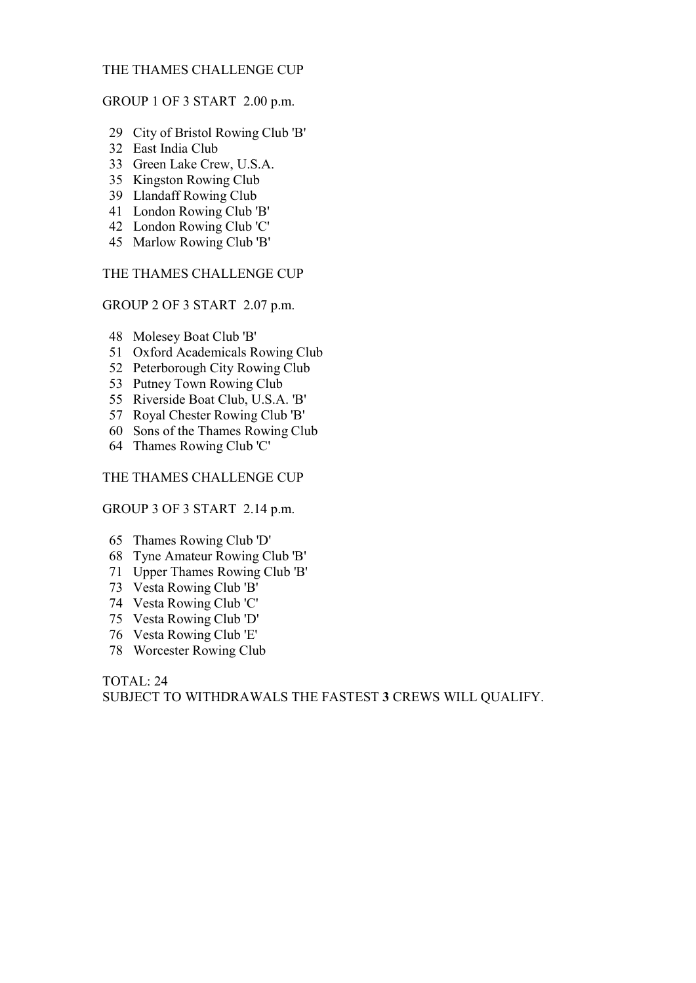# THE THAMES CHALLENGE CUP

#### GROUP 1 OF 3 START 2.00 p.m.

- 29 City of Bristol Rowing Club 'B'
- 32 East India Club
- 33 Green Lake Crew, U.S.A.
- 35 Kingston Rowing Club
- 39 Llandaff Rowing Club
- 41 London Rowing Club 'B'
- 42 London Rowing Club 'C'
- 45 Marlow Rowing Club 'B'

THE THAMES CHALLENGE CUP

GROUP 2 OF 3 START 2.07 p.m.

- 48 Molesey Boat Club 'B'
- 51 Oxford Academicals Rowing Club
- 52 Peterborough City Rowing Club
- 53 Putney Town Rowing Club
- 55 Riverside Boat Club, U.S.A. 'B'
- 57 Royal Chester Rowing Club 'B'
- 60 Sons of the Thames Rowing Club
- 64 Thames Rowing Club 'C'

# THE THAMES CHALLENGE CUP

# GROUP 3 OF 3 START 2.14 p.m.

- 65 Thames Rowing Club 'D'
- 68 Tyne Amateur Rowing Club 'B'
- 71 Upper Thames Rowing Club 'B'
- 73 Vesta Rowing Club 'B'
- 74 Vesta Rowing Club 'C'
- 75 Vesta Rowing Club 'D'
- 76 Vesta Rowing Club 'E'
- 78 Worcester Rowing Club

TOTAL: 24 SUBJECT TO WITHDRAWALS THE FASTEST 3 CREWS WILL QUALIFY.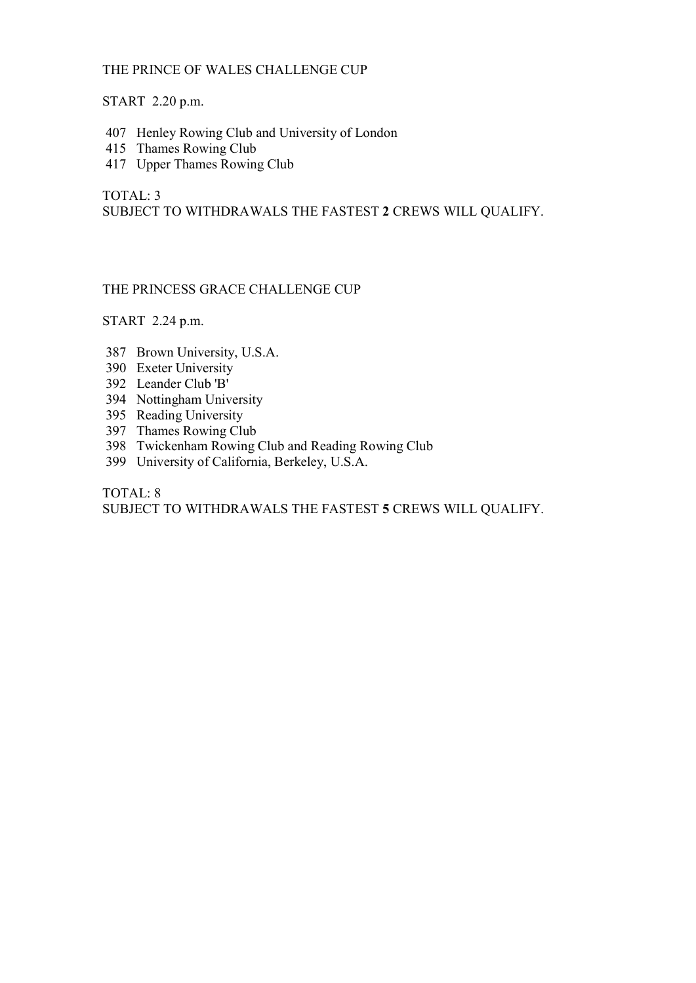# THE PRINCE OF WALES CHALLENGE CUP

# START 2.20 p.m.

- 407 Henley Rowing Club and University of London
- 415 Thames Rowing Club
- 417 Upper Thames Rowing Club

TOTAL: 3 SUBJECT TO WITHDRAWALS THE FASTEST 2 CREWS WILL QUALIFY.

# THE PRINCESS GRACE CHALLENGE CUP

START 2.24 p.m.

- 387 Brown University, U.S.A.
- 390 Exeter University
- 392 Leander Club 'B'
- 394 Nottingham University
- 395 Reading University
- 397 Thames Rowing Club
- 398 Twickenham Rowing Club and Reading Rowing Club
- 399 University of California, Berkeley, U.S.A.

TOTAL: 8

SUBJECT TO WITHDRAWALS THE FASTEST 5 CREWS WILL QUALIFY.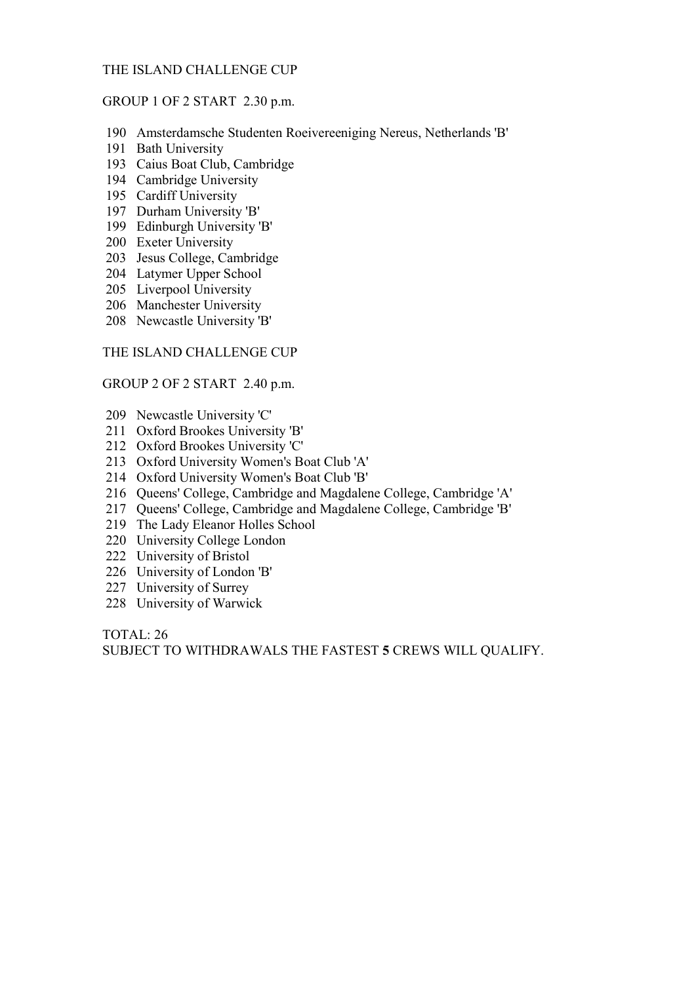### THE ISLAND CHALLENGE CUP

#### GROUP 1 OF 2 START 2.30 p.m.

- 190 Amsterdamsche Studenten Roeivereeniging Nereus, Netherlands 'B'
- 191 Bath University
- 193 Caius Boat Club, Cambridge
- 194 Cambridge University
- 195 Cardiff University
- 197 Durham University 'B'
- 199 Edinburgh University 'B'
- 200 Exeter University
- 203 Jesus College, Cambridge
- 204 Latymer Upper School
- 205 Liverpool University
- 206 Manchester University
- 208 Newcastle University 'B'

#### THE ISLAND CHALLENGE CUP

#### GROUP 2 OF 2 START 2.40 p.m.

- 209 Newcastle University 'C'
- 211 Oxford Brookes University 'B'
- 212 Oxford Brookes University 'C'
- 213 Oxford University Women's Boat Club 'A'
- 214 Oxford University Women's Boat Club 'B'
- 216 Queens' College, Cambridge and Magdalene College, Cambridge 'A'
- 217 Queens' College, Cambridge and Magdalene College, Cambridge 'B'
- 219 The Lady Eleanor Holles School
- 220 University College London
- 222 University of Bristol
- 226 University of London 'B'
- 227 University of Surrey
- 228 University of Warwick

TOTAL: 26

SUBJECT TO WITHDRAWALS THE FASTEST 5 CREWS WILL QUALIFY.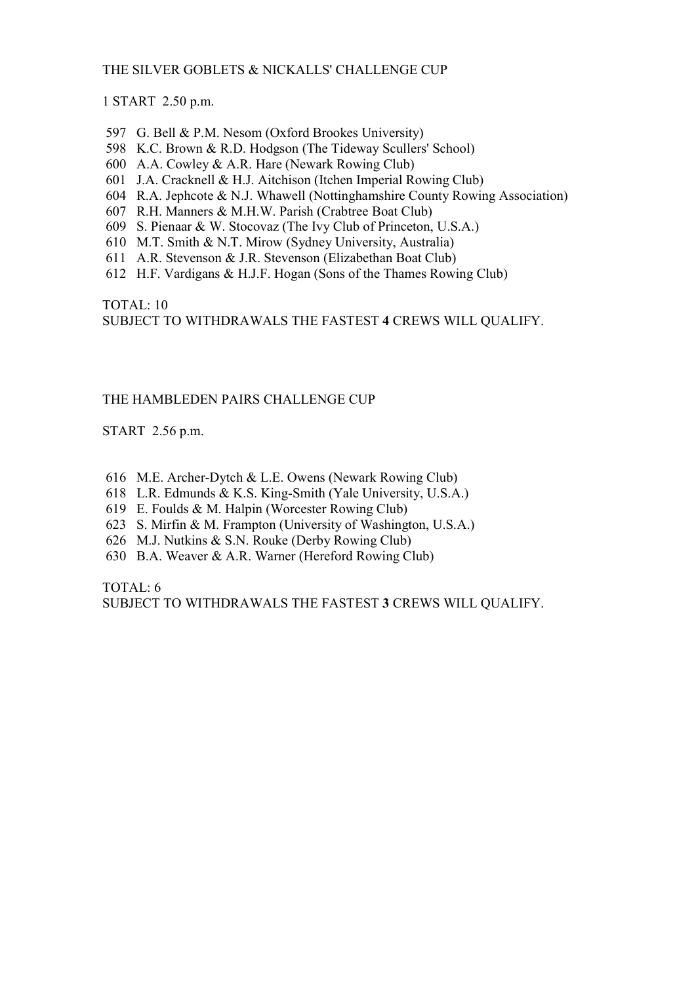# THE SILVER GOBLETS & NICKALLS' CHALLENGE CUP

1 START 2.50 p.m.

- 597 G. Bell & P.M. Nesom (Oxford Brookes University)
- 598 K.C. Brown & R.D. Hodgson (The Tideway Scullers' School)
- 600 A.A. Cowley & A.R. Hare (Newark Rowing Club)
- 601 J.A. Cracknell & H.J. Aitchison (Itchen Imperial Rowing Club)
- 604 R.A. Jephcote & N.J. Whawell (Nottinghamshire County Rowing Association)
- 607 R.H. Manners & M.H.W. Parish (Crabtree Boat Club)
- 609 S. Pienaar & W. Stocovaz (The Ivy Club of Princeton, U.S.A.)
- 610 M.T. Smith & N.T. Mirow (Sydney University, Australia)
- 611 A.R. Stevenson & J.R. Stevenson (Elizabethan Boat Club)
- 612 H.F. Vardigans & H.J.F. Hogan (Sons of the Thames Rowing Club)

TOTAL: 10 SUBJECT TO WITHDRAWALS THE FASTEST 4 CREWS WILL QUALIFY.

# THE HAMBLEDEN PAIRS CHALLENGE CUP

START 2.56 p.m.

- 616 M.E. Archer-Dytch & L.E. Owens (Newark Rowing Club)
- 618 L.R. Edmunds & K.S. King-Smith (Yale University, U.S.A.)
- 619 E. Foulds & M. Halpin (Worcester Rowing Club)
- 623 S. Mirfin & M. Frampton (University of Washington, U.S.A.)
- 626 M.J. Nutkins & S.N. Rouke (Derby Rowing Club)
- 630 B.A. Weaver & A.R. Warner (Hereford Rowing Club)

TOTAL: 6

SUBJECT TO WITHDRAWALS THE FASTEST 3 CREWS WILL QUALIFY.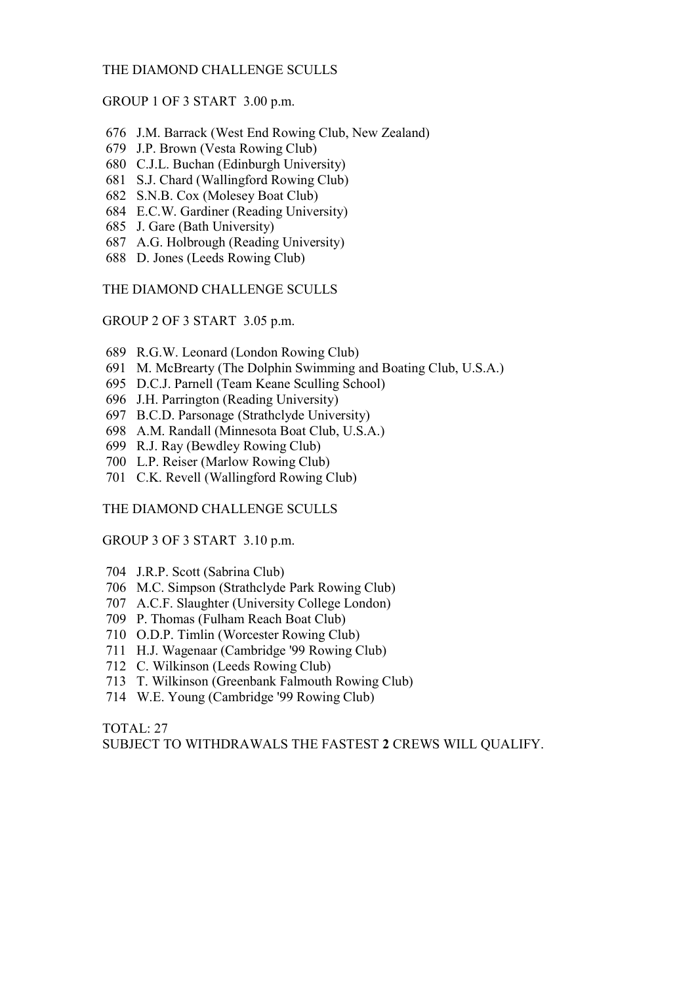### THE DIAMOND CHALLENGE SCULLS

GROUP 1 OF 3 START 3.00 p.m.

- 676 J.M. Barrack (West End Rowing Club, New Zealand)
- 679 J.P. Brown (Vesta Rowing Club)
- 680 C.J.L. Buchan (Edinburgh University)
- 681 S.J. Chard (Wallingford Rowing Club)
- 682 S.N.B. Cox (Molesey Boat Club)
- 684 E.C.W. Gardiner (Reading University)
- 685 J. Gare (Bath University)
- 687 A.G. Holbrough (Reading University)
- 688 D. Jones (Leeds Rowing Club)

THE DIAMOND CHALLENGE SCULLS

GROUP 2 OF 3 START 3.05 p.m.

- 689 R.G.W. Leonard (London Rowing Club)
- 691 M. McBrearty (The Dolphin Swimming and Boating Club, U.S.A.)
- 695 D.C.J. Parnell (Team Keane Sculling School)
- 696 J.H. Parrington (Reading University)
- 697 B.C.D. Parsonage (Strathclyde University)
- 698 A.M. Randall (Minnesota Boat Club, U.S.A.)
- 699 R.J. Ray (Bewdley Rowing Club)
- 700 L.P. Reiser (Marlow Rowing Club)
- 701 C.K. Revell (Wallingford Rowing Club)

THE DIAMOND CHALLENGE SCULLS

#### GROUP 3 OF 3 START 3.10 p.m.

- 704 J.R.P. Scott (Sabrina Club)
- 706 M.C. Simpson (Strathclyde Park Rowing Club)
- 707 A.C.F. Slaughter (University College London)
- 709 P. Thomas (Fulham Reach Boat Club)
- 710 O.D.P. Timlin (Worcester Rowing Club)
- 711 H.J. Wagenaar (Cambridge '99 Rowing Club)
- 712 C. Wilkinson (Leeds Rowing Club)
- 713 T. Wilkinson (Greenbank Falmouth Rowing Club)
- 714 W.E. Young (Cambridge '99 Rowing Club)

TOTAL: 27

SUBJECT TO WITHDRAWALS THE FASTEST 2 CREWS WILL QUALIFY.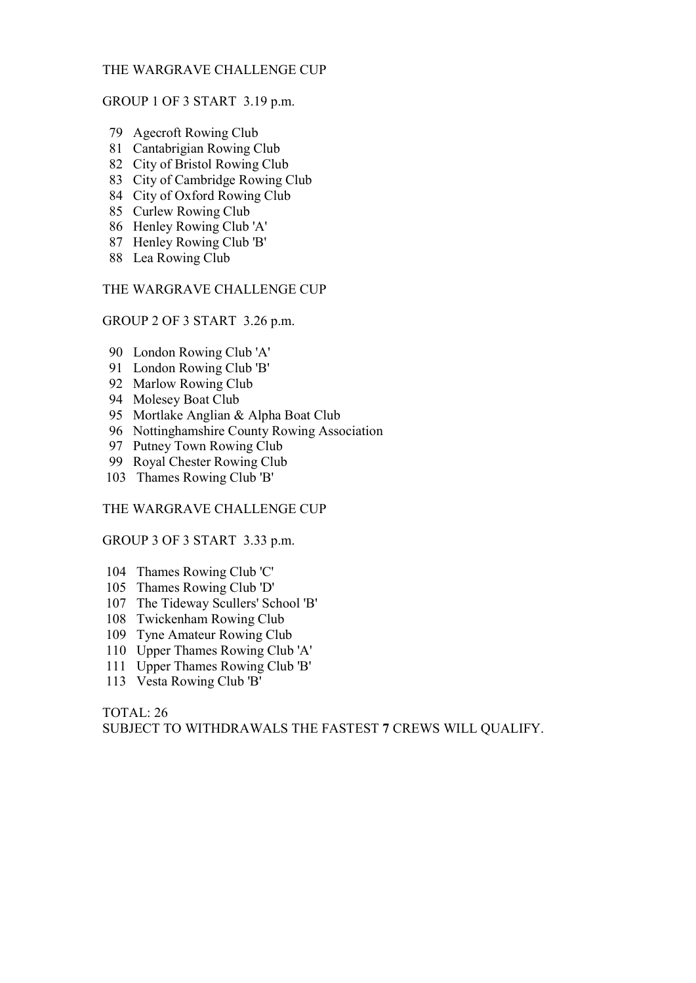# THE WARGRAVE CHALLENGE CUP

#### GROUP 1 OF 3 START 3.19 p.m.

- 79 Agecroft Rowing Club
- 81 Cantabrigian Rowing Club
- 82 City of Bristol Rowing Club
- 83 City of Cambridge Rowing Club
- 84 City of Oxford Rowing Club
- 85 Curlew Rowing Club
- 86 Henley Rowing Club 'A'
- 87 Henley Rowing Club 'B'
- 88 Lea Rowing Club

# THE WARGRAVE CHALLENGE CUP

GROUP 2 OF 3 START 3.26 p.m.

- 90 London Rowing Club 'A'
- 91 London Rowing Club 'B'
- 92 Marlow Rowing Club
- 94 Molesey Boat Club
- 95 Mortlake Anglian & Alpha Boat Club
- 96 Nottinghamshire County Rowing Association
- 97 Putney Town Rowing Club
- 99 Royal Chester Rowing Club
- 103 Thames Rowing Club 'B'

#### THE WARGRAVE CHALLENGE CUP

# GROUP 3 OF 3 START 3.33 p.m.

- 104 Thames Rowing Club 'C'
- 105 Thames Rowing Club 'D'
- 107 The Tideway Scullers' School 'B'
- 108 Twickenham Rowing Club
- 109 Tyne Amateur Rowing Club
- 110 Upper Thames Rowing Club 'A'
- 111 Upper Thames Rowing Club 'B'
- 113 Vesta Rowing Club 'B'

TOTAL: 26 SUBJECT TO WITHDRAWALS THE FASTEST 7 CREWS WILL QUALIFY.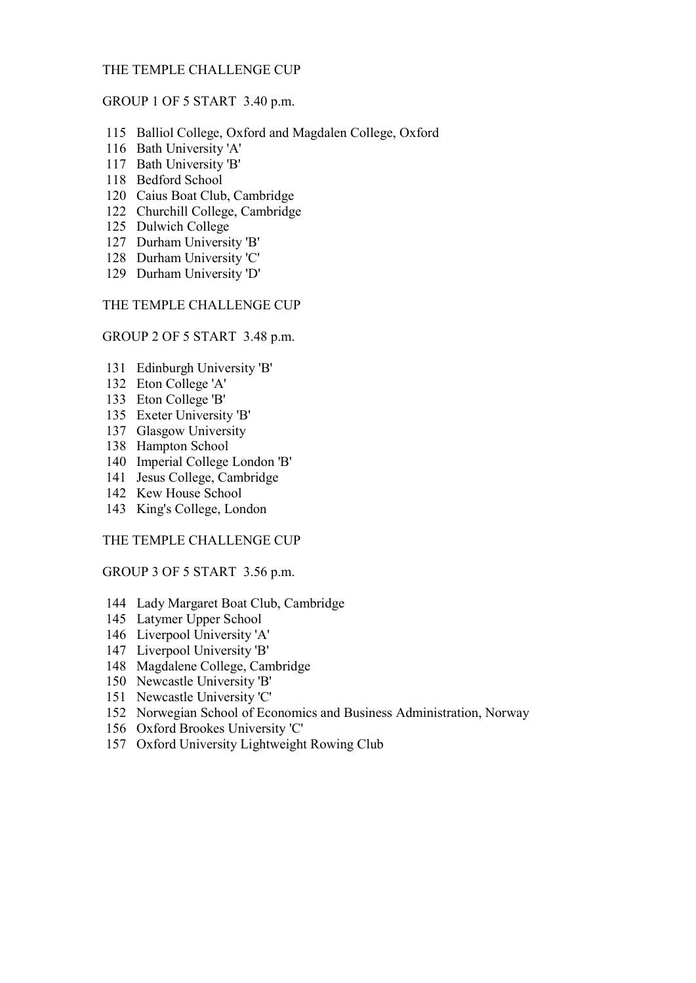# THE TEMPLE CHALLENGE CUP

#### GROUP 1 OF 5 START 3.40 p.m.

- 115 Balliol College, Oxford and Magdalen College, Oxford
- 116 Bath University 'A'
- 117 Bath University 'B'
- 118 Bedford School
- 120 Caius Boat Club, Cambridge
- 122 Churchill College, Cambridge
- 125 Dulwich College
- 127 Durham University 'B'
- 128 Durham University 'C'
- 129 Durham University 'D'

# THE TEMPLE CHALLENGE CUP

#### GROUP 2 OF 5 START 3.48 p.m.

- 131 Edinburgh University 'B'
- 132 Eton College 'A'
- 133 Eton College 'B'
- 135 Exeter University 'B'
- 137 Glasgow University
- 138 Hampton School
- 140 Imperial College London 'B'
- 141 Jesus College, Cambridge
- 142 Kew House School
- 143 King's College, London

#### THE TEMPLE CHALLENGE CUP

# GROUP 3 OF 5 START 3.56 p.m.

- 144 Lady Margaret Boat Club, Cambridge
- 145 Latymer Upper School
- 146 Liverpool University 'A'
- 147 Liverpool University 'B'
- 148 Magdalene College, Cambridge
- 150 Newcastle University 'B'
- 151 Newcastle University 'C'
- 152 Norwegian School of Economics and Business Administration, Norway
- 156 Oxford Brookes University 'C'
- 157 Oxford University Lightweight Rowing Club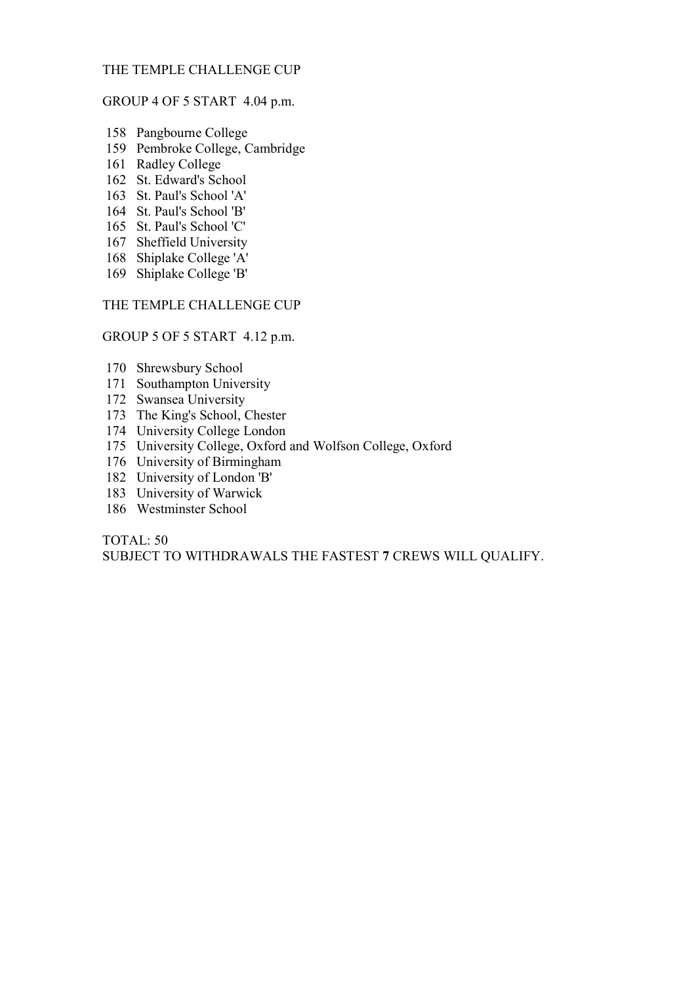# THE TEMPLE CHALLENGE CUP

### GROUP 4 OF 5 START 4.04 p.m.

- 158 Pangbourne College
- 159 Pembroke College, Cambridge
- 161 Radley College
- 162 St. Edward's School
- 163 St. Paul's School 'A'
- 164 St. Paul's School 'B'
- 165 St. Paul's School 'C'
- 167 Sheffield University
- 168 Shiplake College 'A'
- 169 Shiplake College 'B'

# THE TEMPLE CHALLENGE CUP

### GROUP 5 OF 5 START 4.12 p.m.

- 170 Shrewsbury School
- 171 Southampton University
- 172 Swansea University
- 173 The King's School, Chester
- 174 University College London
- 175 University College, Oxford and Wolfson College, Oxford
- 176 University of Birmingham
- 182 University of London 'B'
- 183 University of Warwick
- 186 Westminster School

# TOTAL: 50

SUBJECT TO WITHDRAWALS THE FASTEST 7 CREWS WILL QUALIFY.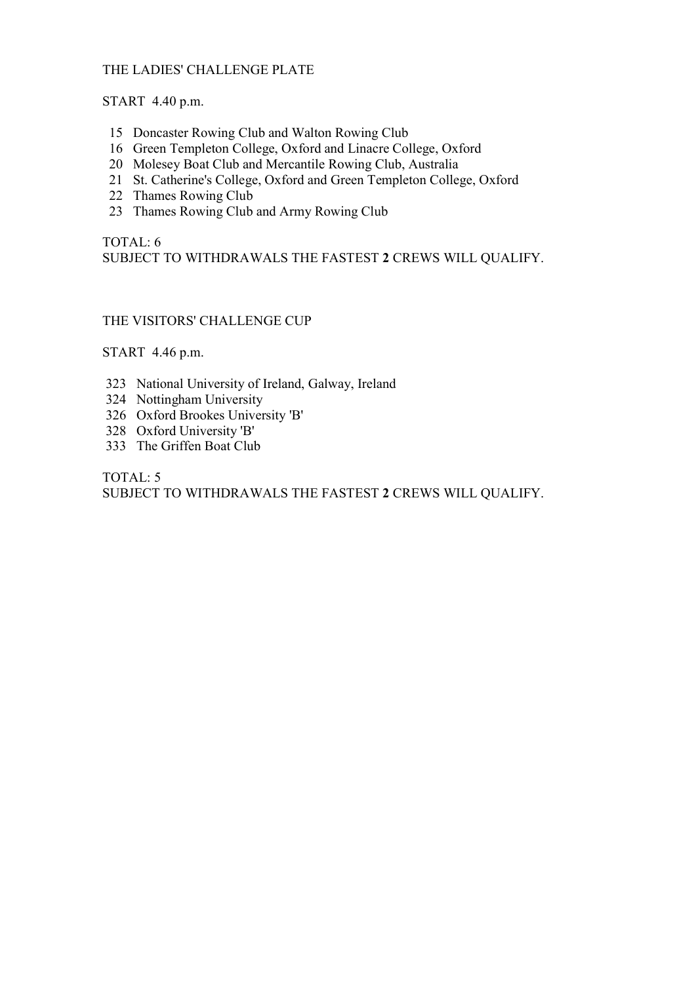# THE LADIES' CHALLENGE PLATE

START 4.40 p.m.

- 15 Doncaster Rowing Club and Walton Rowing Club
- 16 Green Templeton College, Oxford and Linacre College, Oxford
- 20 Molesey Boat Club and Mercantile Rowing Club, Australia
- 21 St. Catherine's College, Oxford and Green Templeton College, Oxford
- 22 Thames Rowing Club
- 23 Thames Rowing Club and Army Rowing Club

# TOTAL: 6 SUBJECT TO WITHDRAWALS THE FASTEST 2 CREWS WILL QUALIFY.

# THE VISITORS' CHALLENGE CUP

START 4.46 p.m.

- 323 National University of Ireland, Galway, Ireland
- 324 Nottingham University
- 326 Oxford Brookes University 'B'
- 328 Oxford University 'B'
- 333 The Griffen Boat Club

TOTAL: 5 SUBJECT TO WITHDRAWALS THE FASTEST 2 CREWS WILL QUALIFY.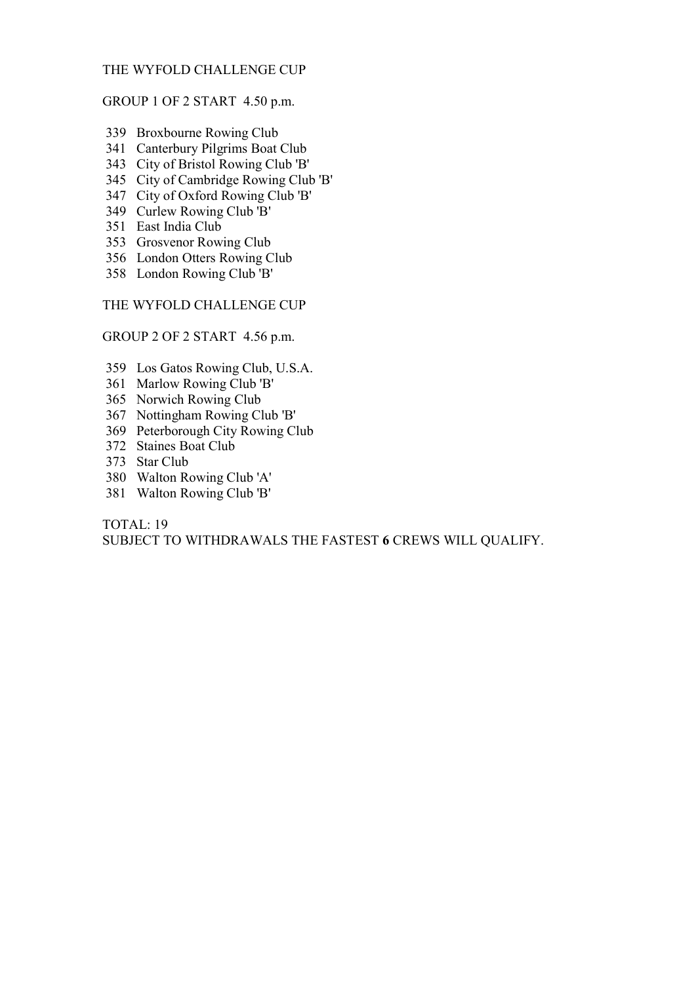# THE WYFOLD CHALLENGE CUP

# GROUP 1 OF 2 START 4.50 p.m.

- 339 Broxbourne Rowing Club
- 341 Canterbury Pilgrims Boat Club
- 343 City of Bristol Rowing Club 'B'
- 345 City of Cambridge Rowing Club 'B'
- 347 City of Oxford Rowing Club 'B'
- 349 Curlew Rowing Club 'B'
- 351 East India Club
- 353 Grosvenor Rowing Club
- 356 London Otters Rowing Club
- 358 London Rowing Club 'B'

## THE WYFOLD CHALLENGE CUP

#### GROUP 2 OF 2 START 4.56 p.m.

- 359 Los Gatos Rowing Club, U.S.A.
- 361 Marlow Rowing Club 'B'
- 365 Norwich Rowing Club
- 367 Nottingham Rowing Club 'B'
- 369 Peterborough City Rowing Club
- 372 Staines Boat Club
- 373 Star Club
- 380 Walton Rowing Club 'A'
- 381 Walton Rowing Club 'B'

TOTAL: 19 SUBJECT TO WITHDRAWALS THE FASTEST 6 CREWS WILL QUALIFY.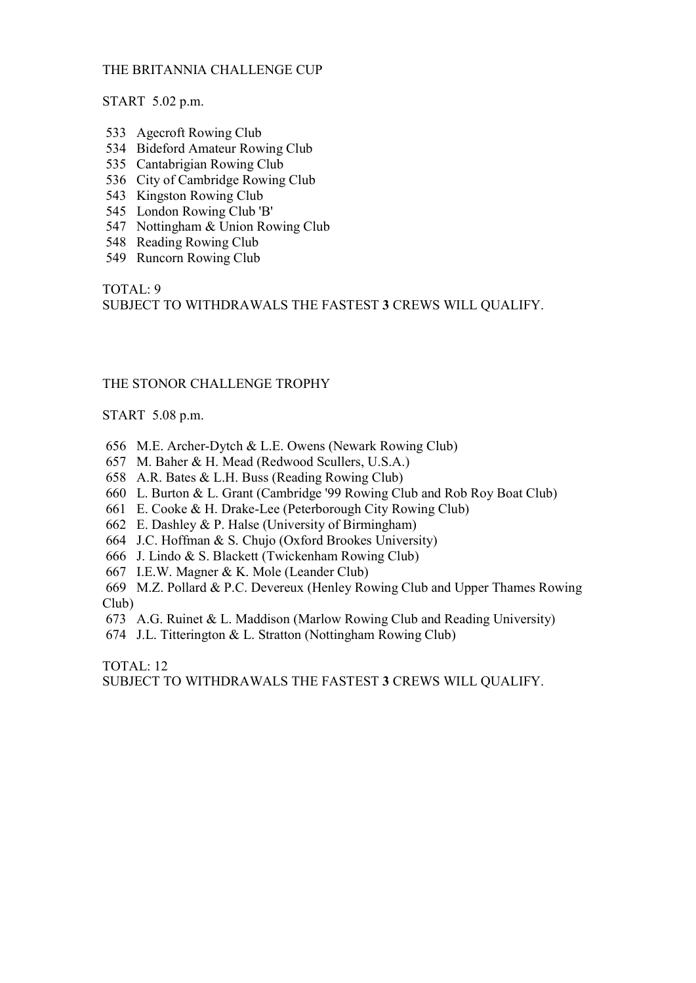# THE BRITANNIA CHALLENGE CUP

START 5.02 p.m.

- 533 Agecroft Rowing Club
- 534 Bideford Amateur Rowing Club
- 535 Cantabrigian Rowing Club
- 536 City of Cambridge Rowing Club
- 543 Kingston Rowing Club
- 545 London Rowing Club 'B'
- 547 Nottingham & Union Rowing Club
- 548 Reading Rowing Club
- 549 Runcorn Rowing Club

TOTAL: 9

SUBJECT TO WITHDRAWALS THE FASTEST 3 CREWS WILL QUALIFY.

# THE STONOR CHALLENGE TROPHY

START 5.08 p.m.

- 656 M.E. Archer-Dytch & L.E. Owens (Newark Rowing Club)
- 657 M. Baher & H. Mead (Redwood Scullers, U.S.A.)
- 658 A.R. Bates & L.H. Buss (Reading Rowing Club)
- 660 L. Burton & L. Grant (Cambridge '99 Rowing Club and Rob Roy Boat Club)
- 661 E. Cooke & H. Drake-Lee (Peterborough City Rowing Club)
- 662 E. Dashley & P. Halse (University of Birmingham)
- 664 J.C. Hoffman & S. Chujo (Oxford Brookes University)
- 666 J. Lindo & S. Blackett (Twickenham Rowing Club)
- 667 I.E.W. Magner & K. Mole (Leander Club)

 669 M.Z. Pollard & P.C. Devereux (Henley Rowing Club and Upper Thames Rowing Club)

- 673 A.G. Ruinet & L. Maddison (Marlow Rowing Club and Reading University)
- 674 J.L. Titterington & L. Stratton (Nottingham Rowing Club)

TOTAL: 12 SUBJECT TO WITHDRAWALS THE FASTEST 3 CREWS WILL QUALIFY.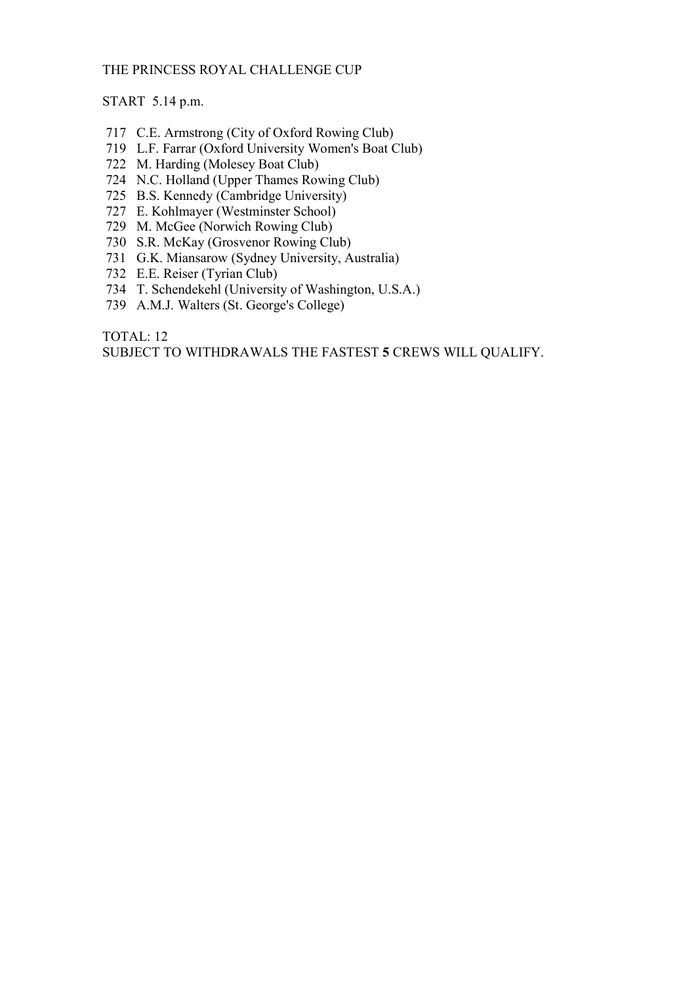# THE PRINCESS ROYAL CHALLENGE CUP

# START 5.14 p.m.

- 717 C.E. Armstrong (City of Oxford Rowing Club)
- 719 L.F. Farrar (Oxford University Women's Boat Club)
- 722 M. Harding (Molesey Boat Club)
- 724 N.C. Holland (Upper Thames Rowing Club)
- 725 B.S. Kennedy (Cambridge University)
- 727 E. Kohlmayer (Westminster School)
- 729 M. McGee (Norwich Rowing Club)
- 730 S.R. McKay (Grosvenor Rowing Club)
- 731 G.K. Miansarow (Sydney University, Australia)
- 732 E.E. Reiser (Tyrian Club)
- 734 T. Schendekehl (University of Washington, U.S.A.)
- 739 A.M.J. Walters (St. George's College)

TOTAL: 12 SUBJECT TO WITHDRAWALS THE FASTEST 5 CREWS WILL QUALIFY.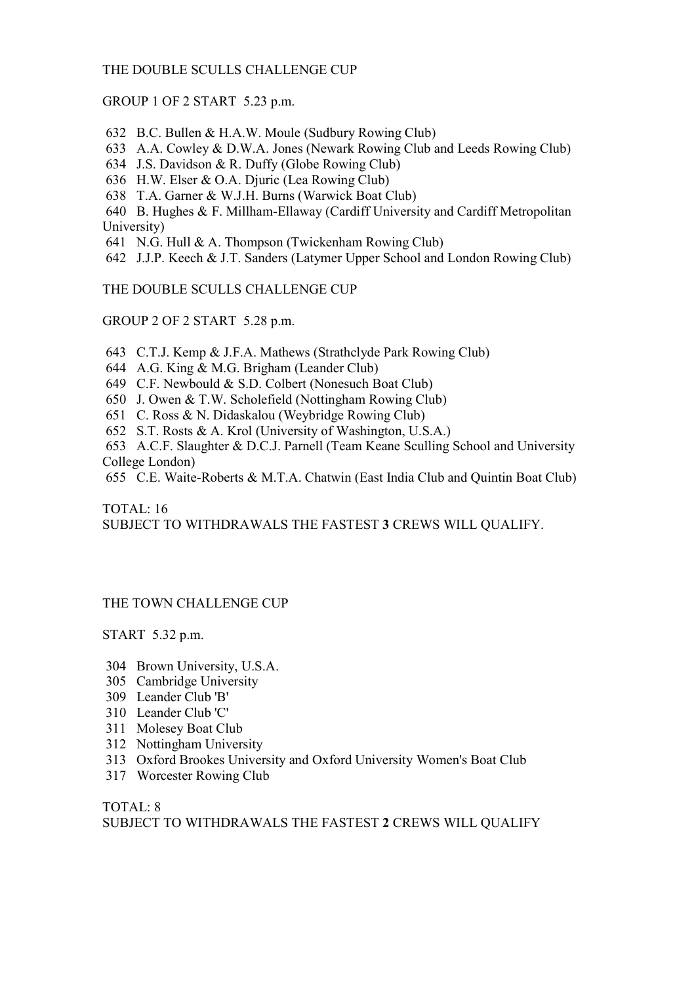# THE DOUBLE SCULLS CHALLENGE CUP

# GROUP 1 OF 2 START 5.23 p.m.

632 B.C. Bullen & H.A.W. Moule (Sudbury Rowing Club)

633 A.A. Cowley & D.W.A. Jones (Newark Rowing Club and Leeds Rowing Club)

634 J.S. Davidson & R. Duffy (Globe Rowing Club)

636 H.W. Elser & O.A. Djuric (Lea Rowing Club)

638 T.A. Garner & W.J.H. Burns (Warwick Boat Club)

 640 B. Hughes & F. Millham-Ellaway (Cardiff University and Cardiff Metropolitan University)

641 N.G. Hull & A. Thompson (Twickenham Rowing Club)

642 J.J.P. Keech & J.T. Sanders (Latymer Upper School and London Rowing Club)

THE DOUBLE SCULLS CHALLENGE CUP

GROUP 2 OF 2 START 5.28 p.m.

643 C.T.J. Kemp & J.F.A. Mathews (Strathclyde Park Rowing Club)

644 A.G. King & M.G. Brigham (Leander Club)

649 C.F. Newbould & S.D. Colbert (Nonesuch Boat Club)

650 J. Owen & T.W. Scholefield (Nottingham Rowing Club)

651 C. Ross & N. Didaskalou (Weybridge Rowing Club)

652 S.T. Rosts & A. Krol (University of Washington, U.S.A.)

 653 A.C.F. Slaughter & D.C.J. Parnell (Team Keane Sculling School and University College London)

655 C.E. Waite-Roberts & M.T.A. Chatwin (East India Club and Quintin Boat Club)

TOTAL: 16 SUBJECT TO WITHDRAWALS THE FASTEST 3 CREWS WILL QUALIFY.

# THE TOWN CHALLENGE CUP

START 5.32 p.m.

- 304 Brown University, U.S.A.
- 305 Cambridge University
- 309 Leander Club 'B'
- 310 Leander Club 'C'
- 311 Molesey Boat Club
- 312 Nottingham University
- 313 Oxford Brookes University and Oxford University Women's Boat Club
- 317 Worcester Rowing Club

TOTAL: 8 SUBJECT TO WITHDRAWALS THE FASTEST 2 CREWS WILL QUALIFY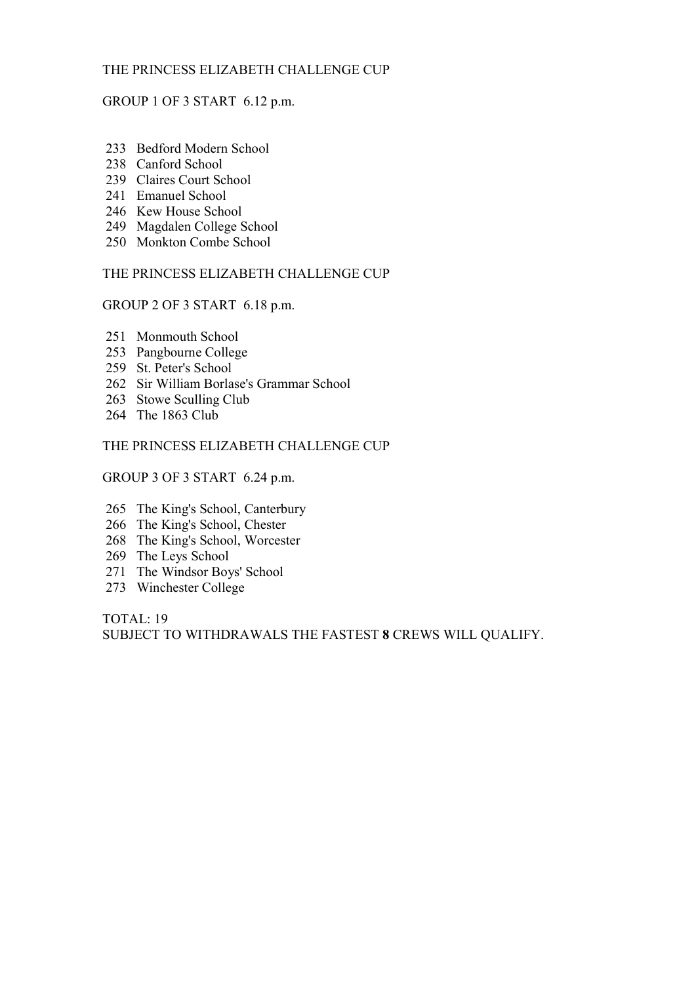# THE PRINCESS ELIZABETH CHALLENGE CUP

# GROUP 1 OF 3 START 6.12 p.m.

- 233 Bedford Modern School
- 238 Canford School
- 239 Claires Court School
- 241 Emanuel School
- 246 Kew House School
- 249 Magdalen College School
- 250 Monkton Combe School

## THE PRINCESS ELIZABETH CHALLENGE CUP

# GROUP 2 OF 3 START 6.18 p.m.

- 251 Monmouth School
- 253 Pangbourne College
- 259 St. Peter's School
- 262 Sir William Borlase's Grammar School
- 263 Stowe Sculling Club
- 264 The 1863 Club

# THE PRINCESS ELIZABETH CHALLENGE CUP

#### GROUP 3 OF 3 START 6.24 p.m.

- 265 The King's School, Canterbury
- 266 The King's School, Chester
- 268 The King's School, Worcester
- 269 The Leys School
- 271 The Windsor Boys' School
- 273 Winchester College

TOTAL: 19 SUBJECT TO WITHDRAWALS THE FASTEST 8 CREWS WILL QUALIFY.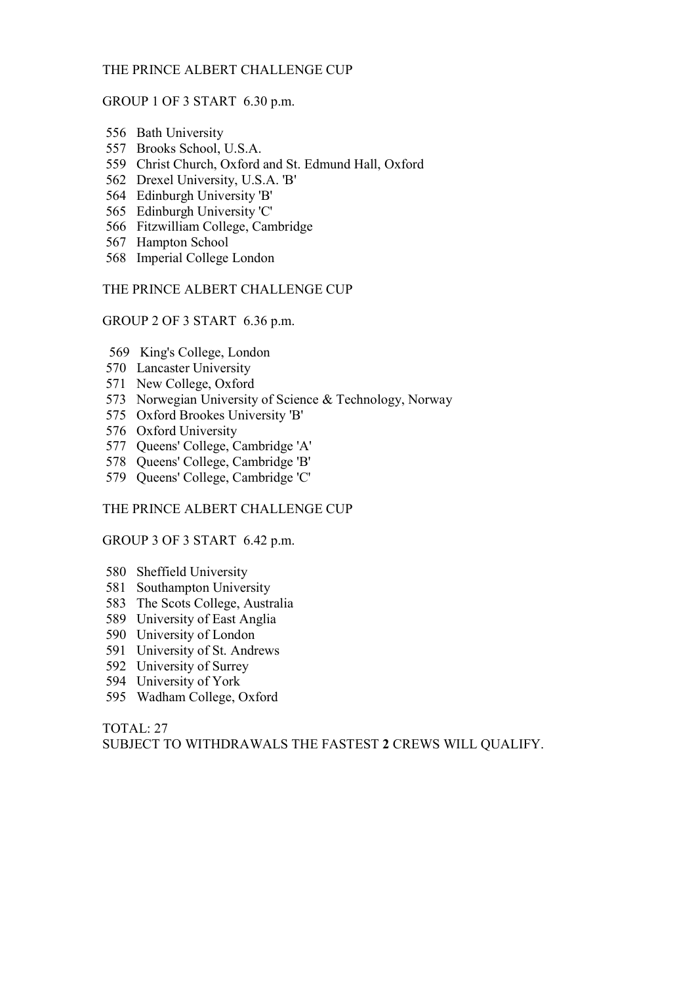# THE PRINCE ALBERT CHALLENGE CUP

#### GROUP 1 OF 3 START 6.30 p.m.

- 556 Bath University
- 557 Brooks School, U.S.A.
- 559 Christ Church, Oxford and St. Edmund Hall, Oxford
- 562 Drexel University, U.S.A. 'B'
- 564 Edinburgh University 'B'
- 565 Edinburgh University 'C'
- 566 Fitzwilliam College, Cambridge
- 567 Hampton School
- 568 Imperial College London

#### THE PRINCE ALBERT CHALLENGE CUP

GROUP 2 OF 3 START 6.36 p.m.

- 569 King's College, London
- 570 Lancaster University
- 571 New College, Oxford
- 573 Norwegian University of Science & Technology, Norway
- 575 Oxford Brookes University 'B'
- 576 Oxford University
- 577 Queens' College, Cambridge 'A'
- 578 Queens' College, Cambridge 'B'
- 579 Queens' College, Cambridge 'C'

#### THE PRINCE ALBERT CHALLENGE CUP

#### GROUP 3 OF 3 START 6.42 p.m.

- 580 Sheffield University
- 581 Southampton University
- 583 The Scots College, Australia
- 589 University of East Anglia
- 590 University of London
- 591 University of St. Andrews
- 592 University of Surrey
- 594 University of York
- 595 Wadham College, Oxford

TOTAL: 27 SUBJECT TO WITHDRAWALS THE FASTEST 2 CREWS WILL QUALIFY.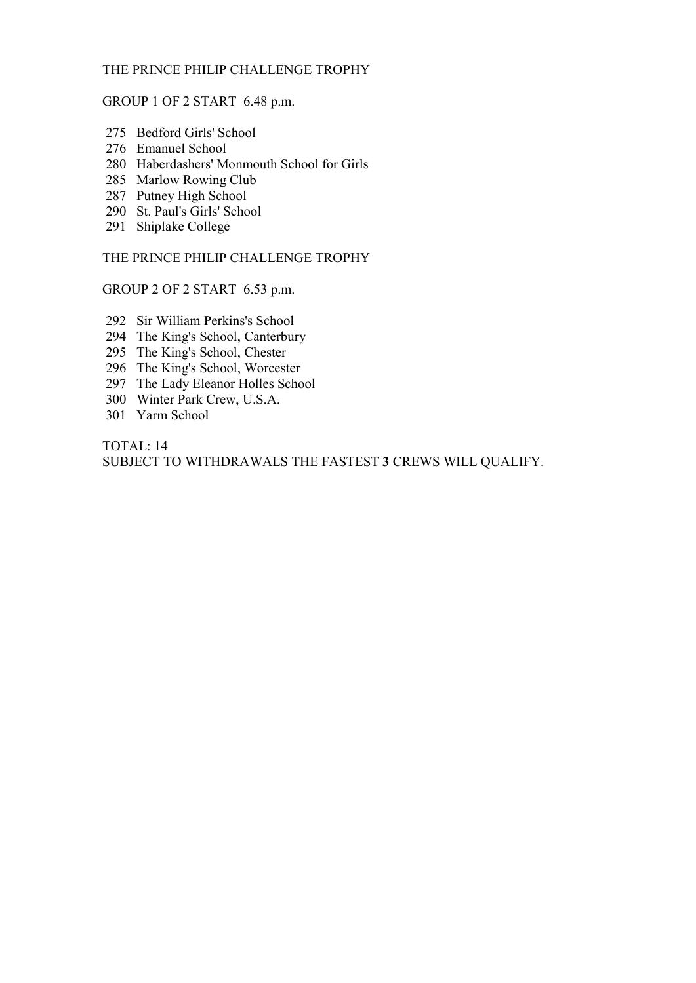# THE PRINCE PHILIP CHALLENGE TROPHY

### GROUP 1 OF 2 START 6.48 p.m.

- 275 Bedford Girls' School
- 276 Emanuel School
- 280 Haberdashers' Monmouth School for Girls
- 285 Marlow Rowing Club
- 287 Putney High School
- 290 St. Paul's Girls' School
- 291 Shiplake College

THE PRINCE PHILIP CHALLENGE TROPHY

GROUP 2 OF 2 START 6.53 p.m.

- 292 Sir William Perkins's School
- 294 The King's School, Canterbury
- 295 The King's School, Chester
- 296 The King's School, Worcester
- 297 The Lady Eleanor Holles School
- 300 Winter Park Crew, U.S.A.
- 301 Yarm School

TOTAL: 14 SUBJECT TO WITHDRAWALS THE FASTEST 3 CREWS WILL QUALIFY.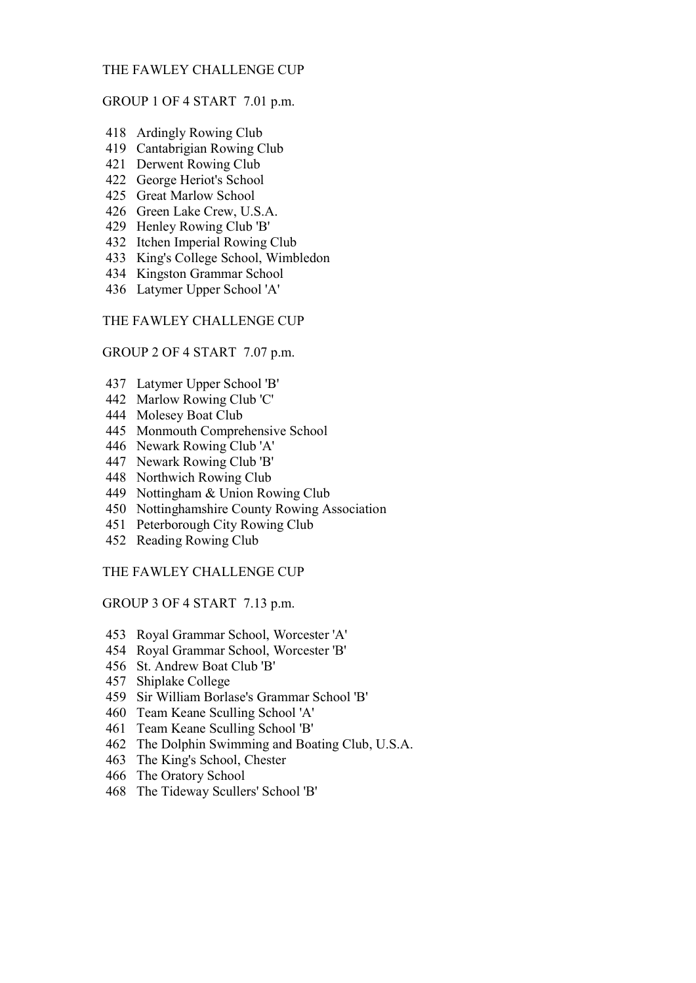# THE FAWLEY CHALLENGE CUP

#### GROUP 1 OF 4 START 7.01 p.m.

- 418 Ardingly Rowing Club
- 419 Cantabrigian Rowing Club
- 421 Derwent Rowing Club
- 422 George Heriot's School
- 425 Great Marlow School
- 426 Green Lake Crew, U.S.A.
- 429 Henley Rowing Club 'B'
- 432 Itchen Imperial Rowing Club
- 433 King's College School, Wimbledon
- 434 Kingston Grammar School
- 436 Latymer Upper School 'A'

THE FAWLEY CHALLENGE CUP

#### GROUP 2 OF 4 START 7.07 p.m.

- 437 Latymer Upper School 'B'
- 442 Marlow Rowing Club 'C'
- 444 Molesey Boat Club
- 445 Monmouth Comprehensive School
- 446 Newark Rowing Club 'A'
- 447 Newark Rowing Club 'B'
- 448 Northwich Rowing Club
- 449 Nottingham & Union Rowing Club
- 450 Nottinghamshire County Rowing Association
- 451 Peterborough City Rowing Club
- 452 Reading Rowing Club

THE FAWLEY CHALLENGE CUP

GROUP 3 OF 4 START 7.13 p.m.

- 453 Royal Grammar School, Worcester 'A'
- 454 Royal Grammar School, Worcester 'B'
- 456 St. Andrew Boat Club 'B'
- 457 Shiplake College
- 459 Sir William Borlase's Grammar School 'B'
- 460 Team Keane Sculling School 'A'
- 461 Team Keane Sculling School 'B'
- 462 The Dolphin Swimming and Boating Club, U.S.A.
- 463 The King's School, Chester
- 466 The Oratory School
- 468 The Tideway Scullers' School 'B'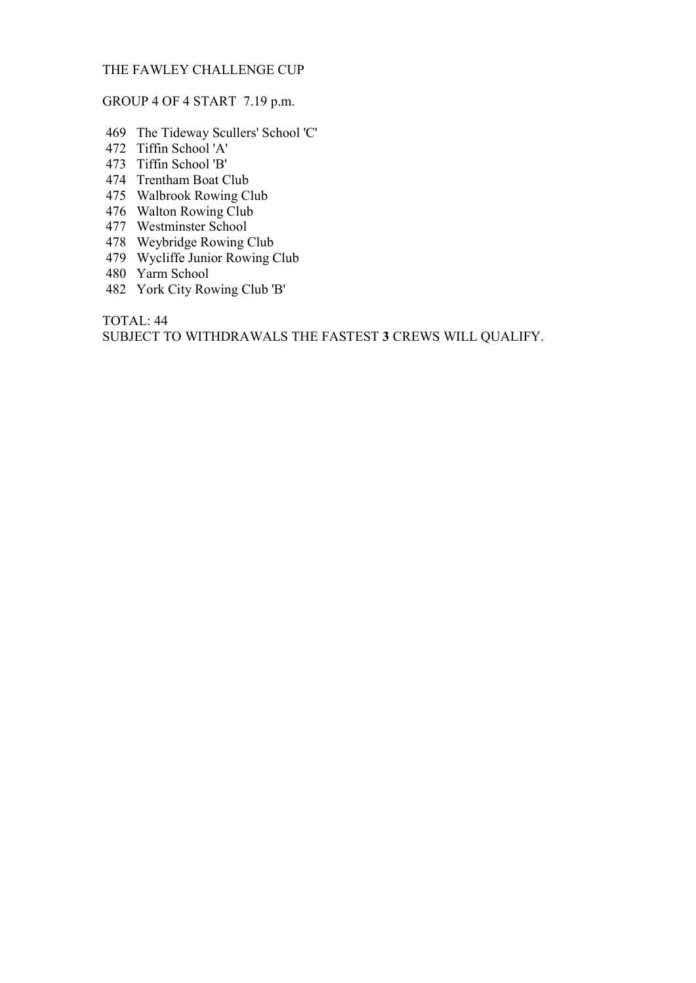# THE FAWLEY CHALLENGE CUP

# GROUP 4 OF 4 START 7.19 p.m.

- 469 The Tideway Scullers' School 'C'
- 472 Tiffin School 'A'
- 473 Tiffin School 'B'
- 474 Trentham Boat Club
- 475 Walbrook Rowing Club
- 476 Walton Rowing Club
- 477 Westminster School
- 478 Weybridge Rowing Club
- 479 Wycliffe Junior Rowing Club
- 480 Yarm School
- 482 York City Rowing Club 'B'

TOTAL: 44 SUBJECT TO WITHDRAWALS THE FASTEST 3 CREWS WILL QUALIFY.